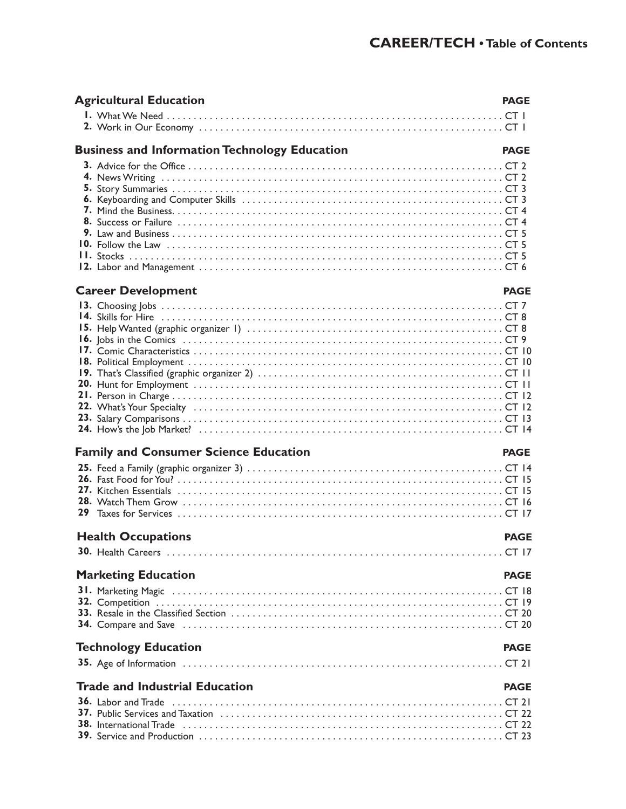| <b>Agricultural Education</b>                                                                  | <b>PAGE</b> |
|------------------------------------------------------------------------------------------------|-------------|
|                                                                                                |             |
| <b>Business and Information Technology Education</b>                                           | <b>PAGE</b> |
|                                                                                                |             |
| <b>Career Development</b>                                                                      | <b>PAGE</b> |
|                                                                                                |             |
| <b>Family and Consumer Science Education</b>                                                   | <b>PAGE</b> |
|                                                                                                |             |
| <b>Health Occupations</b>                                                                      | <b>PAGE</b> |
|                                                                                                |             |
| <b>Marketing Education</b><br>31. Marketing Magic (and all and all and area of the Magic CT 18 | <b>PAGE</b> |
| <b>Technology Education</b>                                                                    | <b>PAGE</b> |
|                                                                                                |             |
| <b>Trade and Industrial Education</b>                                                          | <b>PAGE</b> |
|                                                                                                |             |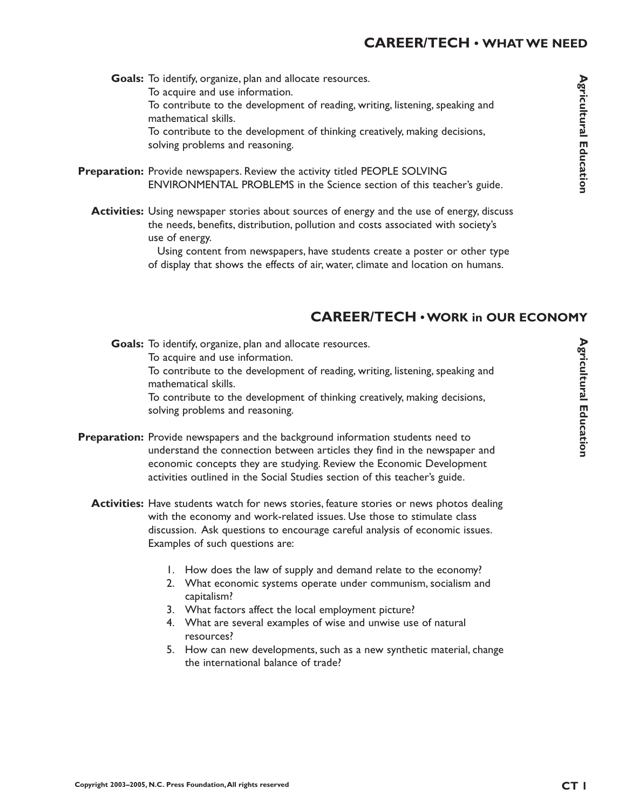## **CAREER/TECH • WHAT WE NEED**

Goals: To identify, organize, plan and allocate resources. To acquire and use information. To contribute to the development of reading, writing, listening, speaking and mathematical skills. To contribute to the development of thinking creatively, making decisions, solving problems and reasoning.

- **Preparation:** Provide newspapers. Review the activity titled PEOPLE SOLVING ENVIRONMENTAL PROBLEMS in the Science section of this teacher's guide.
	- **Activities:** Using newspaper stories about sources of energy and the use of energy, discuss the needs, benefits, distribution, pollution and costs associated with society's use of energy.

Using content from newspapers, have students create a poster or other type of display that shows the effects of air, water, climate and location on humans.

## **CAREER/TECH • WORK in OUR ECONOMY**

Goals: To identify, organize, plan and allocate resources. To acquire and use information. To contribute to the development of reading, writing, listening, speaking and mathematical skills. To contribute to the development of thinking creatively, making decisions, solving problems and reasoning.

- Preparation: Provide newspapers and the background information students need to understand the connection between articles they find in the newspaper and economic concepts they are studying. Review the Economic Development activities outlined in the Social Studies section of this teacher's guide.
	- **Activities:** Have students watch for news stories, feature stories or news photos dealing with the economy and work-related issues. Use those to stimulate class discussion. Ask questions to encourage careful analysis of economic issues. Examples of such questions are:
		- 1. How does the law of supply and demand relate to the economy?
		- 2. What economic systems operate under communism, socialism and capitalism?
		- 3. What factors affect the local employment picture?
		- 4. What are several examples of wise and unwise use of natural resources?
		- 5. How can new developments, such as a new synthetic material, change the international balance of trade?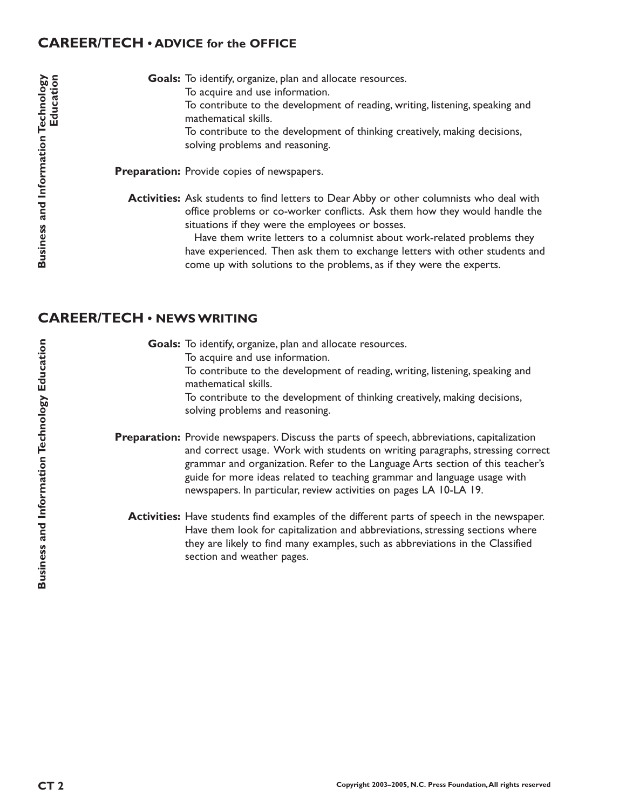### **CAREER/TECH • ADVICE for the OFFICE**

Goals: To identify, organize, plan and allocate resources. To acquire and use information. To contribute to the development of reading, writing, listening, speaking and mathematical skills. To contribute to the development of thinking creatively, making decisions, solving problems and reasoning.

Preparation: Provide copies of newspapers.

Activities: Ask students to find letters to Dear Abby or other columnists who deal with office problems or co-worker conflicts. Ask them how they would handle the situations if they were the employees or bosses.

> Have them write letters to a columnist about work-related problems they have experienced. Then ask them to exchange letters with other students and come up with solutions to the problems, as if they were the experts.

### **CAREER/TECH • NEWS WRITING**

Goals: To identify, organize, plan and allocate resources. To acquire and use information. To contribute to the development of reading, writing, listening, speaking and mathematical skills. To contribute to the development of thinking creatively, making decisions, solving problems and reasoning.

Preparation: Provide newspapers. Discuss the parts of speech, abbreviations, capitalization and correct usage. Work with students on writing paragraphs, stressing correct grammar and organization. Refer to the Language Arts section of this teacher's guide for more ideas related to teaching grammar and language usage with newspapers. In particular, review activities on pages LA 10-LA 19.

Activities: Have students find examples of the different parts of speech in the newspaper. Have them look for capitalization and abbreviations, stressing sections where they are likely to find many examples, such as abbreviations in the Classified section and weather pages.

**Business and Information Technology Education**

**Business and Information Technology Education**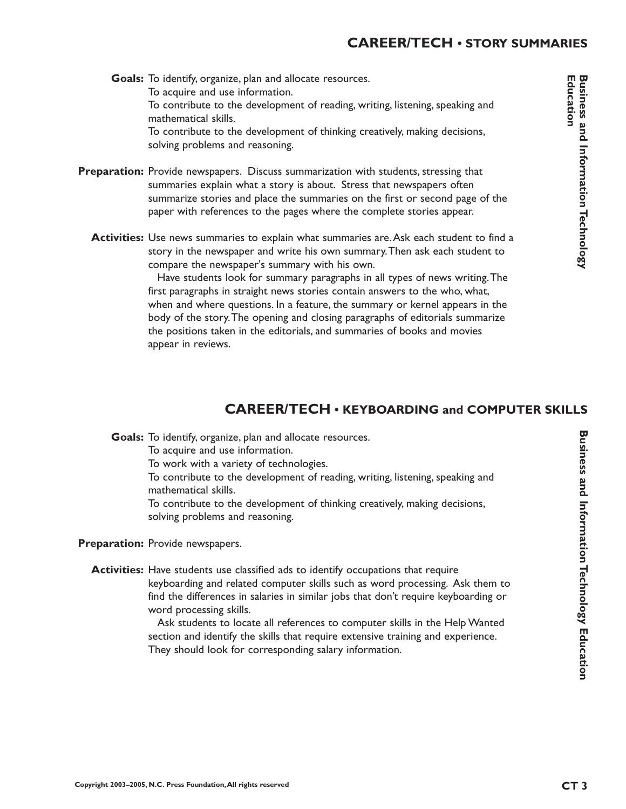Goals: To identify, organize, plan and allocate resources. To acquire and use information. To contribute to the development of reading, writing, listening, speaking and mathematical skills. To contribute to the development of thinking creatively, making decisions, solving problems and reasoning.

- Preparation: Provide newspapers. Discuss summarization with students, stressing that summaries explain what a story is about. Stress that newspapers often summarize stories and place the summaries on the first or second page of the paper with references to the pages where the complete stories appear.
	- **Activities:** Use news summaries to explain what summaries are. Ask each student to find a story in the newspaper and write his own summary.Then ask each student to compare the newspaper's summary with his own.

Have students look for summary paragraphs in all types of news writing.The first paragraphs in straight news stories contain answers to the who, what, when and where questions. In a feature, the summary or kernel appears in the body of the story.The opening and closing paragraphs of editorials summarize the positions taken in the editorials, and summaries of books and movies appear in reviews.

# **CAREER/TECH • KEYBOARDING and COMPUTER SKILLS**

Goals: To identify, organize, plan and allocate resources.

To acquire and use information.

To work with a variety of technologies.

To contribute to the development of reading, writing, listening, speaking and mathematical skills.

To contribute to the development of thinking creatively, making decisions, solving problems and reasoning.

Preparation: Provide newspapers.

**Activities:** Have students use classified ads to identify occupations that require keyboarding and related computer skills such as word processing. Ask them to find the differences in salaries in similar jobs that don't require keyboarding or word processing skills.

> Ask students to locate all references to computer skills in the Help Wanted section and identify the skills that require extensive training and experience. They should look for corresponding salary information.

**Business and Information Technology Education**

**Business and Information Technology Education**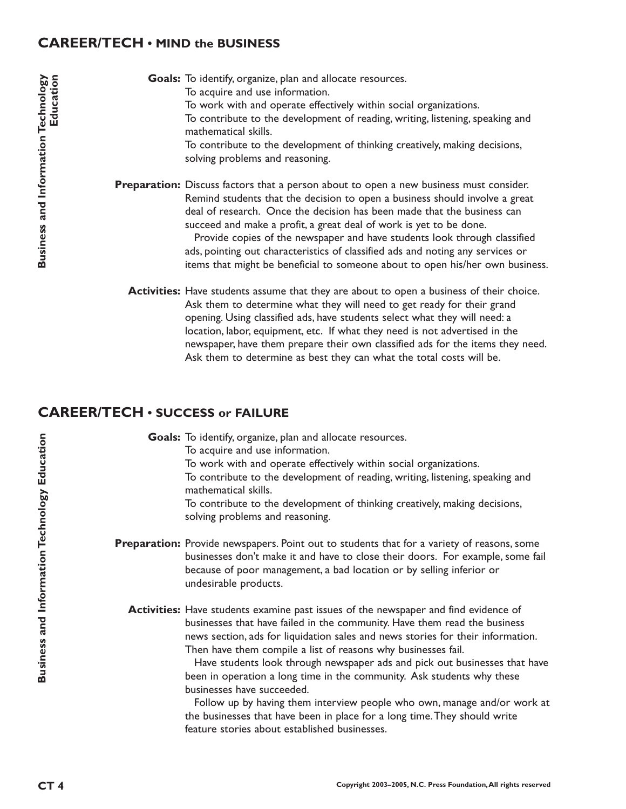### **CAREER/TECH • MIND the BUSINESS**

Goals: To identify, organize, plan and allocate resources. To acquire and use information. To work with and operate effectively within social organizations. To contribute to the development of reading, writing, listening, speaking and mathematical skills. To contribute to the development of thinking creatively, making decisions, solving problems and reasoning.

Preparation: Discuss factors that a person about to open a new business must consider. Remind students that the decision to open a business should involve a great deal of research. Once the decision has been made that the business can succeed and make a profit, a great deal of work is yet to be done. Provide copies of the newspaper and have students look through classified ads, pointing out characteristics of classified ads and noting any services or items that might be beneficial to someone about to open his/her own business.

**Activities:** Have students assume that they are about to open a business of their choice. Ask them to determine what they will need to get ready for their grand opening. Using classified ads, have students select what they will need: a location, labor, equipment, etc. If what they need is not advertised in the newspaper, have them prepare their own classified ads for the items they need. Ask them to determine as best they can what the total costs will be.

### **CAREER/TECH • SUCCESS or FAILURE**

| Goals: To identify, organize, plan and allocate resources.<br>To acquire and use information.                                                                                                                                                                                                                                                                                                                                                                                                              |  |
|------------------------------------------------------------------------------------------------------------------------------------------------------------------------------------------------------------------------------------------------------------------------------------------------------------------------------------------------------------------------------------------------------------------------------------------------------------------------------------------------------------|--|
| To work with and operate effectively within social organizations.                                                                                                                                                                                                                                                                                                                                                                                                                                          |  |
| To contribute to the development of reading, writing, listening, speaking and<br>mathematical skills.                                                                                                                                                                                                                                                                                                                                                                                                      |  |
| To contribute to the development of thinking creatively, making decisions,<br>solving problems and reasoning.                                                                                                                                                                                                                                                                                                                                                                                              |  |
| <b>Preparation:</b> Provide newspapers. Point out to students that for a variety of reasons, some<br>businesses don't make it and have to close their doors. For example, some fail<br>because of poor management, a bad location or by selling inferior or<br>undesirable products.                                                                                                                                                                                                                       |  |
| Activities: Have students examine past issues of the newspaper and find evidence of<br>businesses that have failed in the community. Have them read the business<br>news section, ads for liquidation sales and news stories for their information.<br>Then have them compile a list of reasons why businesses fail.<br>Have students look through newspaper ads and pick out businesses that have<br>been in operation a long time in the community. Ask students why these<br>businesses have succeeded. |  |
| Follow up by having them interview people who own, manage and/or work at                                                                                                                                                                                                                                                                                                                                                                                                                                   |  |

the businesses that have been in place for a long time.They should write feature stories about established businesses.

**Business and Information Technology Education**

**Business and Information Technology Education**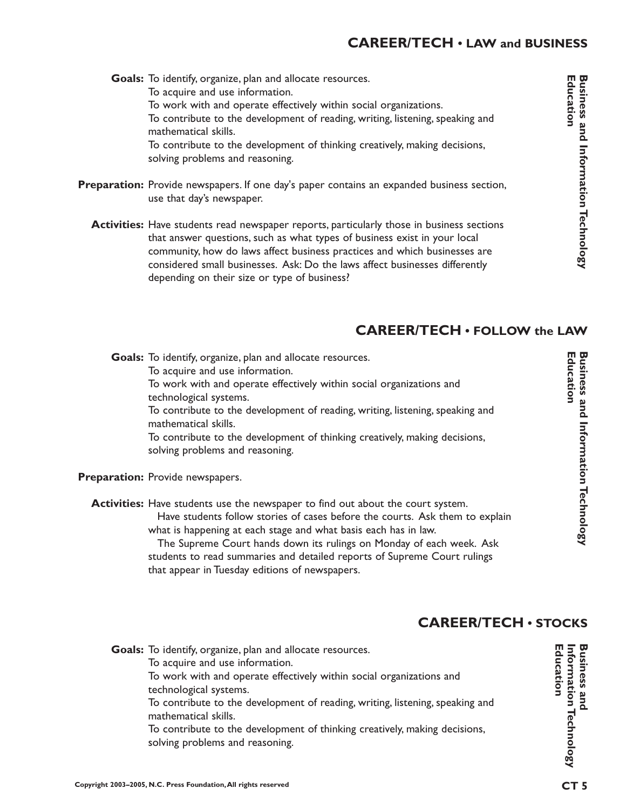# **CAREER/TECH • LAW and BUSINESS**

Goals: To identify, organize, plan and allocate resources. To acquire and use information. To work with and operate effectively within social organizations. To contribute to the development of reading, writing, listening, speaking and mathematical skills. To contribute to the development of thinking creatively, making decisions, solving problems and reasoning.

- Preparation: Provide newspapers. If one day's paper contains an expanded business section, use that day's newspaper.
	- **Activities:** Have students read newspaper reports, particularly those in business sections that answer questions, such as what types of business exist in your local community, how do laws affect business practices and which businesses are considered small businesses. Ask: Do the laws affect businesses differently depending on their size or type of business?

# **CAREER/TECH • FOLLOW the LAW**

Goals: To identify, organize, plan and allocate resources. To acquire and use information. To work with and operate effectively within social organizations and technological systems. To contribute to the development of reading, writing, listening, speaking and mathematical skills. To contribute to the development of thinking creatively, making decisions, solving problems and reasoning.

Preparation: Provide newspapers.

**Activities:** Have students use the newspaper to find out about the court system. Have students follow stories of cases before the courts. Ask them to explain what is happening at each stage and what basis each has in law. The Supreme Court hands down its rulings on Monday of each week. Ask

students to read summaries and detailed reports of Supreme Court rulings that appear in Tuesday editions of newspapers.

# **CAREER/TECH • STOCKS**

Goals: To identify, organize, plan and allocate resources. To acquire and use information. To work with and operate effectively within social organizations and technological systems. To contribute to the development of reading, writing, listening, speaking and mathematical skills. To contribute to the development of thinking creatively, making decisions, solving problems and reasoning.

**Business and<br>Information Technology**<br>Education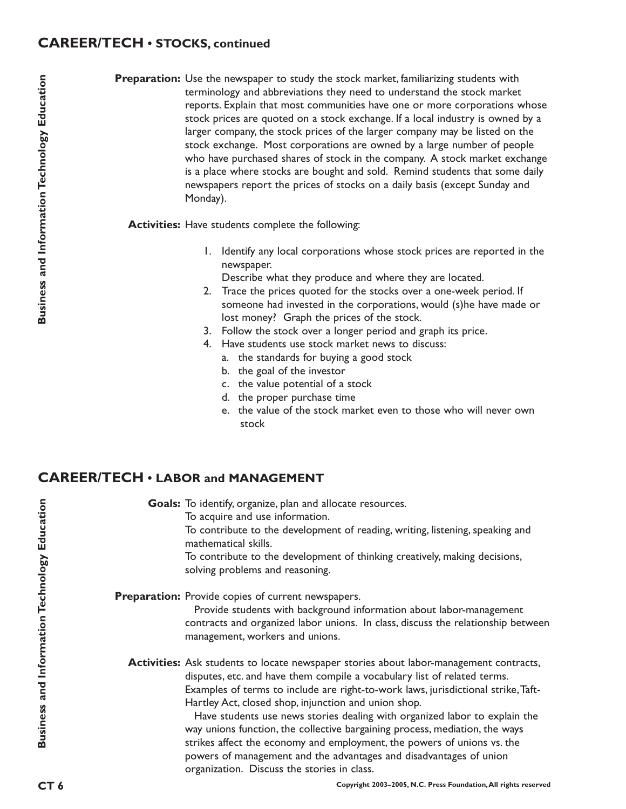### **CAREER/TECH • STOCKS, continued**

Preparation: Use the newspaper to study the stock market, familiarizing students with terminology and abbreviations they need to understand the stock market reports. Explain that most communities have one or more corporations whose stock prices are quoted on a stock exchange. If a local industry is owned by a larger company, the stock prices of the larger company may be listed on the stock exchange. Most corporations are owned by a large number of people who have purchased shares of stock in the company. A stock market exchange is a place where stocks are bought and sold. Remind students that some daily newspapers report the prices of stocks on a daily basis (except Sunday and Monday).

**Activities:** Have students complete the following:

1. Identify any local corporations whose stock prices are reported in the newspaper.

Describe what they produce and where they are located.

- 2. Trace the prices quoted for the stocks over a one-week period. If someone had invested in the corporations, would (s)he have made or lost money? Graph the prices of the stock.
- 3. Follow the stock over a longer period and graph its price.
- 4. Have students use stock market news to discuss:
	- a. the standards for buying a good stock
	- b. the goal of the investor

organization. Discuss the stories in class.

- c. the value potential of a stock
- d. the proper purchase time
- e. the value of the stock market even to those who will never own stock

### **CAREER/TECH • LABOR and MANAGEMENT**

Goals: To identify, organize, plan and allocate resources. To acquire and use information. To contribute to the development of reading, writing, listening, speaking and mathematical skills. To contribute to the development of thinking creatively, making decisions, solving problems and reasoning. Preparation: Provide copies of current newspapers. Provide students with background information about labor-management contracts and organized labor unions. In class, discuss the relationship between management, workers and unions. **Activities:** Ask students to locate newspaper stories about labor-management contracts, disputes, etc. and have them compile a vocabulary list of related terms. Examples of terms to include are right-to-work laws, jurisdictional strike,Taft-Hartley Act, closed shop, injunction and union shop. Have students use news stories dealing with organized labor to explain the way unions function, the collective bargaining process, mediation, the ways strikes affect the economy and employment, the powers of unions vs. the powers of management and the advantages and disadvantages of union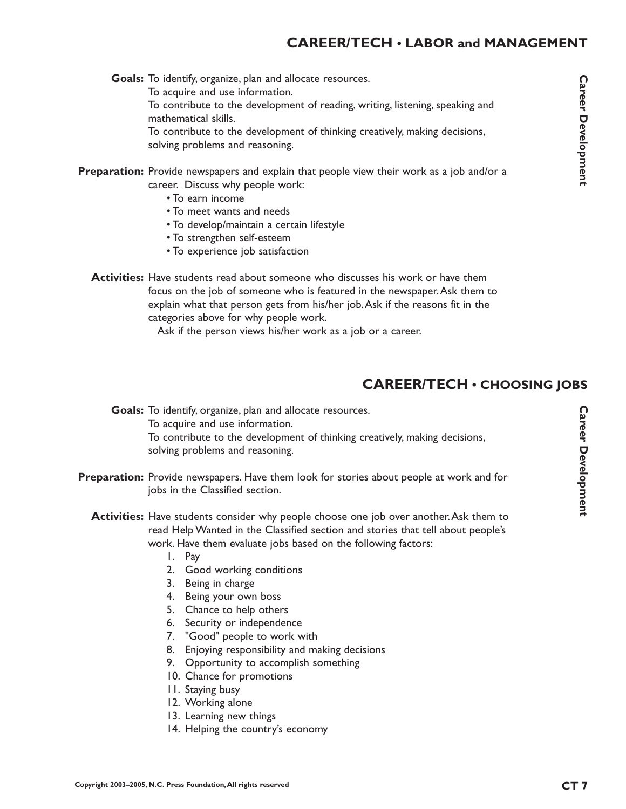# **CAREER/TECH • LABOR and MANAGEMENT**

Goals: To identify, organize, plan and allocate resources. To acquire and use information. To contribute to the development of reading, writing, listening, speaking and mathematical skills. To contribute to the development of thinking creatively, making decisions, solving problems and reasoning.

**Preparation:** Provide newspapers and explain that people view their work as a job and/or a career. Discuss why people work:

- To earn income
- To meet wants and needs
- To develop/maintain a certain lifestyle
- To strengthen self-esteem
- To experience job satisfaction

**Activities:** Have students read about someone who discusses his work or have them focus on the job of someone who is featured in the newspaper.Ask them to explain what that person gets from his/her job.Ask if the reasons fit in the categories above for why people work.

Ask if the person views his/her work as a job or a career.

## **CAREER/TECH • CHOOSING JOBS**

Goals: To identify, organize, plan and allocate resources. To acquire and use information. To contribute to the development of thinking creatively, making decisions, solving problems and reasoning.

- Preparation: Provide newspapers. Have them look for stories about people at work and for jobs in the Classified section.
	- **Activities:** Have students consider why people choose one job over another. Ask them to read Help Wanted in the Classified section and stories that tell about people's work. Have them evaluate jobs based on the following factors:
		- 1. Pay
		- 2. Good working conditions
		- 3. Being in charge
		- 4. Being your own boss
		- 5. Chance to help others
		- 6. Security or independence
		- 7. "Good" people to work with
		- 8. Enjoying responsibility and making decisions
		- 9. Opportunity to accomplish something
		- 10. Chance for promotions
		- 11. Staying busy
		- 12. Working alone
		- 13. Learning new things
		- 14. Helping the country's economy

**Career Development**

**Career Development**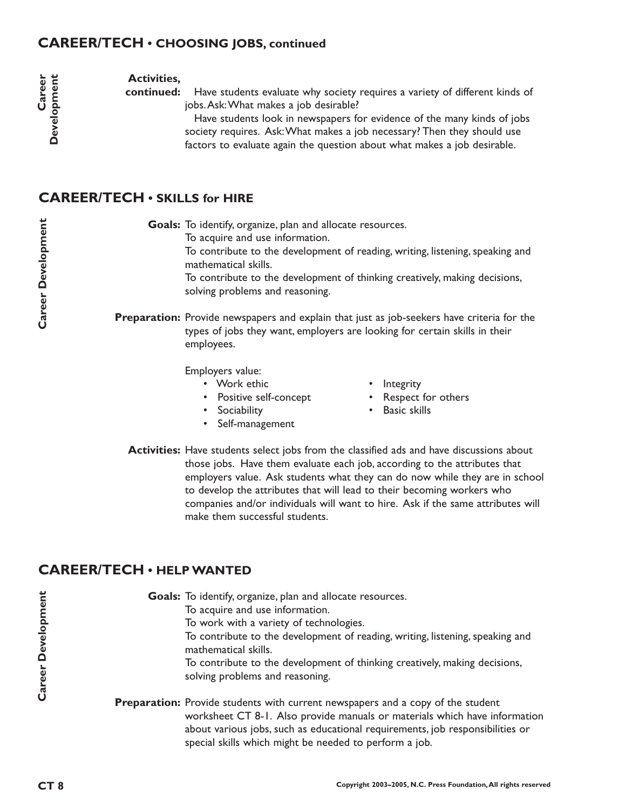## **CAREER/TECH • CHOOSING JOBS, continued**

**Activities,**

Have students evaluate why society requires a variety of different kinds of jobs.Ask:What makes a job desirable? **continued:**

> Have students look in newspapers for evidence of the many kinds of jobs society requires. Ask:What makes a job necessary? Then they should use factors to evaluate again the question about what makes a job desirable.

# **CAREER/TECH • SKILLS for HIRE**

Goals: To identify, organize, plan and allocate resources. To acquire and use information.

> To contribute to the development of reading, writing, listening, speaking and mathematical skills.

To contribute to the development of thinking creatively, making decisions, solving problems and reasoning.

Preparation: Provide newspapers and explain that just as job-seekers have criteria for the types of jobs they want, employers are looking for certain skills in their employees.

Employers value:

- Work ethic **•** Integrity
- Positive self-concept Respect for others
- 
- Self-management
- 
- 
- Sociability Basic skills
- **Activities:** Have students select jobs from the classified ads and have discussions about those jobs. Have them evaluate each job, according to the attributes that employers value. Ask students what they can do now while they are in school to develop the attributes that will lead to their becoming workers who companies and/or individuals will want to hire. Ask if the same attributes will make them successful students.

# **CAREER/TECH • HELP WANTED**

| Goals: To identify, organize, plan and allocate resources.                                                                                                                                                                                                                                                      |
|-----------------------------------------------------------------------------------------------------------------------------------------------------------------------------------------------------------------------------------------------------------------------------------------------------------------|
| To acquire and use information.                                                                                                                                                                                                                                                                                 |
| To work with a variety of technologies.                                                                                                                                                                                                                                                                         |
| To contribute to the development of reading, writing, listening, speaking and<br>mathematical skills.                                                                                                                                                                                                           |
| To contribute to the development of thinking creatively, making decisions,<br>solving problems and reasoning.                                                                                                                                                                                                   |
| <b>Preparation:</b> Provide students with current newspapers and a copy of the student<br>worksheet CT 8-1. Also provide manuals or materials which have information<br>about various jobs, such as educational requirements, job responsibilities or<br>special skills which might be needed to perform a job. |

Career

Development

**Career Development**

**Career Development**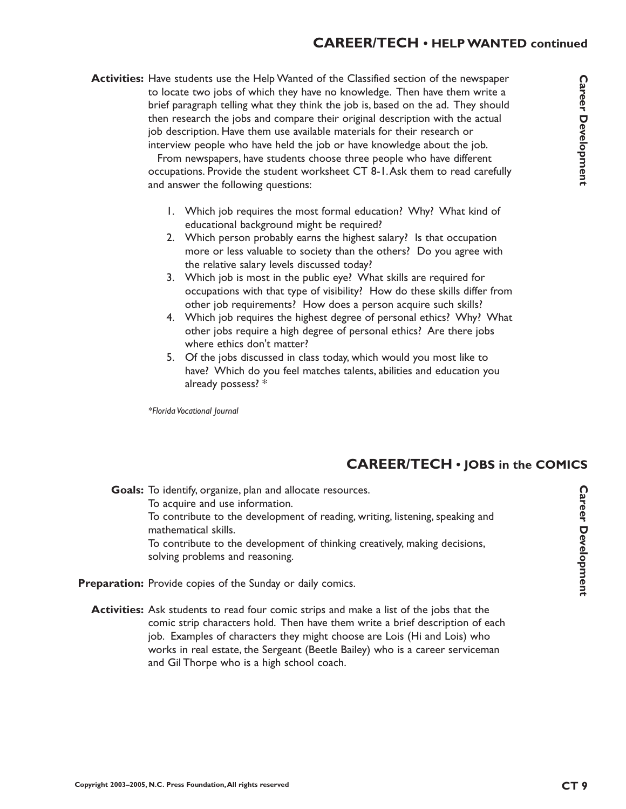#### **CAREER/TECH • HELP WANTED continued**

**Activities:** Have students use the Help Wanted of the Classified section of the newspaper to locate two jobs of which they have no knowledge. Then have them write a brief paragraph telling what they think the job is, based on the ad. They should then research the jobs and compare their original description with the actual job description. Have them use available materials for their research or interview people who have held the job or have knowledge about the job.

> From newspapers, have students choose three people who have different occupations. Provide the student worksheet CT 8-1.Ask them to read carefully and answer the following questions:

- 1. Which job requires the most formal education? Why? What kind of educational background might be required?
- 2. Which person probably earns the highest salary? Is that occupation more or less valuable to society than the others? Do you agree with the relative salary levels discussed today?
- 3. Which job is most in the public eye? What skills are required for occupations with that type of visibility? How do these skills differ from other job requirements? How does a person acquire such skills?
- 4. Which job requires the highest degree of personal ethics? Why? What other jobs require a high degree of personal ethics? Are there jobs where ethics don't matter?
- 5. Of the jobs discussed in class today, which would you most like to have? Which do you feel matches talents, abilities and education you already possess? \*

*\*Florida Vocational Journal*

### **CAREER/TECH • JOBS in the COMICS**

Goals: To identify, organize, plan and allocate resources. To acquire and use information. To contribute to the development of reading, writing, listening, speaking and mathematical skills. To contribute to the development of thinking creatively, making decisions, solving problems and reasoning.

Preparation: Provide copies of the Sunday or daily comics.

**Activities:** Ask students to read four comic strips and make a list of the jobs that the comic strip characters hold. Then have them write a brief description of each job. Examples of characters they might choose are Lois (Hi and Lois) who works in real estate, the Sergeant (Beetle Bailey) who is a career serviceman and Gil Thorpe who is a high school coach.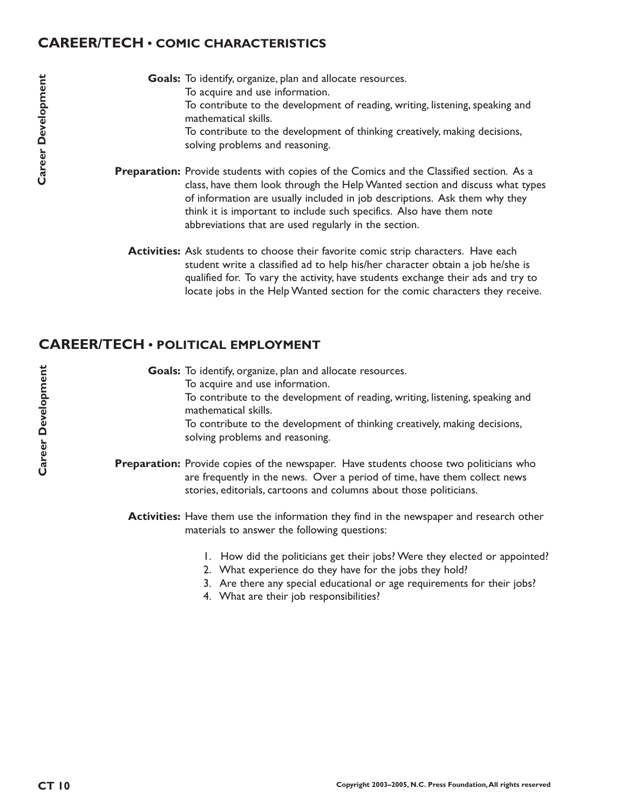### **CAREER/TECH • COMIC CHARACTERISTICS**

Goals: To identify, organize, plan and allocate resources. To acquire and use information. To contribute to the development of reading, writing, listening, speaking and mathematical skills. To contribute to the development of thinking creatively, making decisions, solving problems and reasoning.

Preparation: Provide students with copies of the Comics and the Classified section. As a class, have them look through the Help Wanted section and discuss what types of information are usually included in job descriptions. Ask them why they think it is important to include such specifics. Also have them note abbreviations that are used regularly in the section.

**Activities:** Ask students to choose their favorite comic strip characters. Have each student write a classified ad to help his/her character obtain a job he/she is qualified for. To vary the activity, have students exchange their ads and try to locate jobs in the Help Wanted section for the comic characters they receive.

# **CAREER/TECH • POLITICAL EMPLOYMENT**

Goals: To identify, organize, plan and allocate resources. To acquire and use information. To contribute to the development of reading, writing, listening, speaking and mathematical skills. To contribute to the development of thinking creatively, making decisions, solving problems and reasoning.

**Preparation:** Provide copies of the newspaper. Have students choose two politicians who are frequently in the news. Over a period of time, have them collect news stories, editorials, cartoons and columns about those politicians.

**Activities:** Have them use the information they find in the newspaper and research other materials to answer the following questions:

- 1. How did the politicians get their jobs? Were they elected or appointed?
- 2. What experience do they have for the jobs they hold?
- 3. Are there any special educational or age requirements for their jobs?
- 4. What are their job responsibilities?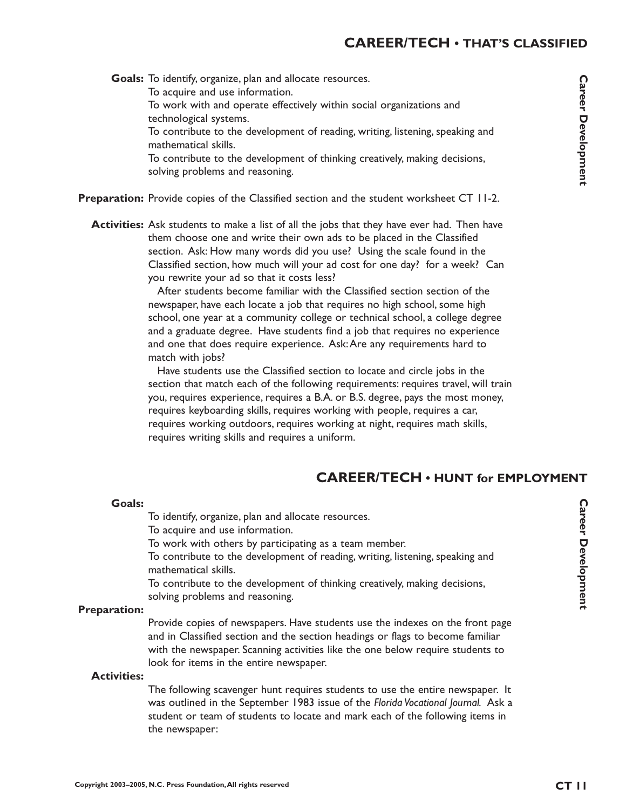# **CAREER/TECH • THAT'S CLASSIFIED**

**Career Development Career Development<br>Career Development<br>H**<br>**N**<br>**C** 

Goals: To identify, organize, plan and allocate resources. To acquire and use information. To work with and operate effectively within social organizations and technological systems. To contribute to the development of reading, writing, listening, speaking and mathematical skills. To contribute to the development of thinking creatively, making decisions,

solving problems and reasoning.

Preparation: Provide copies of the Classified section and the student worksheet CT 11-2.

**Activities:** Ask students to make a list of all the jobs that they have ever had. Then have them choose one and write their own ads to be placed in the Classified section. Ask: How many words did you use? Using the scale found in the Classified section, how much will your ad cost for one day? for a week? Can you rewrite your ad so that it costs less?

> After students become familiar with the Classified section section of the newspaper, have each locate a job that requires no high school, some high school, one year at a community college or technical school, a college degree and a graduate degree. Have students find a job that requires no experience and one that does require experience. Ask:Are any requirements hard to match with jobs?

Have students use the Classified section to locate and circle jobs in the section that match each of the following requirements: requires travel, will train you, requires experience, requires a B.A. or B.S. degree, pays the most money, requires keyboarding skills, requires working with people, requires a car, requires working outdoors, requires working at night, requires math skills, requires writing skills and requires a uniform.

# **CAREER/TECH • HUNT for EMPLOYMENT**

#### **Goals:**

To identify, organize, plan and allocate resources.

To acquire and use information.

To work with others by participating as a team member.

To contribute to the development of reading, writing, listening, speaking and mathematical skills.

To contribute to the development of thinking creatively, making decisions, solving problems and reasoning.

#### **Preparation:**

Provide copies of newspapers. Have students use the indexes on the front page and in Classified section and the section headings or flags to become familiar with the newspaper. Scanning activities like the one below require students to look for items in the entire newspaper.

#### **Activities:**

The following scavenger hunt requires students to use the entire newspaper. It was outlined in the September 1983 issue of the *Florida Vocational Journal.* Ask a student or team of students to locate and mark each of the following items in the newspaper: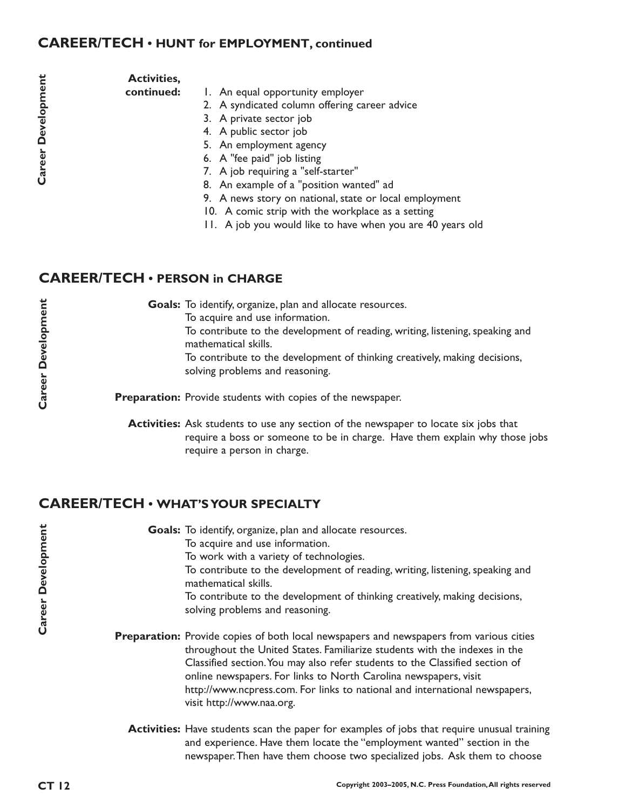### **CAREER/TECH • HUNT for EMPLOYMENT, continued**

| l |
|---|
|   |
|   |
|   |
|   |
| ; |
|   |
|   |

#### **Activities,**

**continued:**

- 1. An equal opportunity employer
- 2. A syndicated column offering career advice
- 3. A private sector job
- 4. A public sector job
- 5. An employment agency
- 6. A "fee paid" job listing
- 7. A job requiring a "self-starter"
- 8. An example of a "position wanted" ad
- 9. A news story on national, state or local employment
- 10. A comic strip with the workplace as a setting
- 11. A job you would like to have when you are 40 years old

## **CAREER/TECH • PERSON in CHARGE**

| <b>Goals:</b> To identify, organize, plan and allocate resources.                                             |
|---------------------------------------------------------------------------------------------------------------|
| To acquire and use information.                                                                               |
| To contribute to the development of reading, writing, listening, speaking and<br>mathematical skills.         |
| To contribute to the development of thinking creatively, making decisions,<br>solving problems and reasoning. |
| <b>Preparation:</b> Provide students with copies of the newspaper.                                            |

**Activities:** Ask students to use any section of the newspaper to locate six jobs that require a boss or someone to be in charge. Have them explain why those jobs require a person in charge.

# **CAREER/TECH • WHAT'S YOUR SPECIALTY**

Goals: To identify, organize, plan and allocate resources.

To acquire and use information.

To work with a variety of technologies.

To contribute to the development of reading, writing, listening, speaking and mathematical skills.

To contribute to the development of thinking creatively, making decisions, solving problems and reasoning.

- Preparation: Provide copies of both local newspapers and newspapers from various cities throughout the United States. Familiarize students with the indexes in the Classified section.You may also refer students to the Classified section of online newspapers. For links to North Carolina newspapers, visit http://www.ncpress.com. For links to national and international newspapers, visit http://www.naa.org.
	- **Activities:** Have students scan the paper for examples of jobs that require unusual training and experience. Have them locate the "employment wanted" section in the newspaper.Then have them choose two specialized jobs. Ask them to choose

**Career Development**

Career Development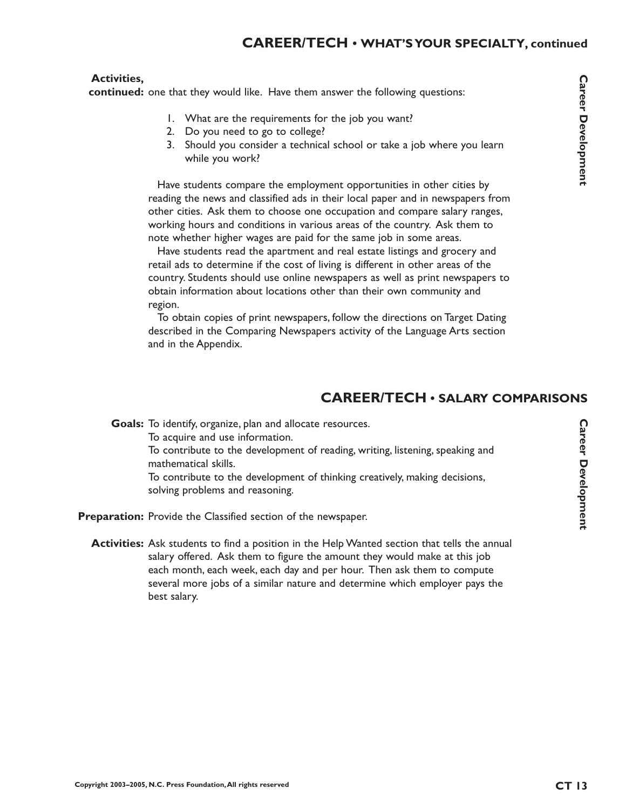#### **Activities,**

continued: one that they would like. Have them answer the following questions:

- 1. What are the requirements for the job you want?
- 2. Do you need to go to college?
- 3. Should you consider a technical school or take a job where you learn while you work?

Have students compare the employment opportunities in other cities by reading the news and classified ads in their local paper and in newspapers from other cities. Ask them to choose one occupation and compare salary ranges, working hours and conditions in various areas of the country. Ask them to note whether higher wages are paid for the same job in some areas.

Have students read the apartment and real estate listings and grocery and retail ads to determine if the cost of living is different in other areas of the country. Students should use online newspapers as well as print newspapers to obtain information about locations other than their own community and region.

To obtain copies of print newspapers, follow the directions on Target Dating described in the Comparing Newspapers activity of the Language Arts section and in the Appendix.

# **CAREER/TECH • SALARY COMPARISONS**

Goals: To identify, organize, plan and allocate resources. To acquire and use information. To contribute to the development of reading, writing, listening, speaking and mathematical skills. To contribute to the development of thinking creatively, making decisions, solving problems and reasoning.

Preparation: Provide the Classified section of the newspaper.

**Activities:** Ask students to find a position in the Help Wanted section that tells the annual salary offered. Ask them to figure the amount they would make at this job each month, each week, each day and per hour. Then ask them to compute several more jobs of a similar nature and determine which employer pays the best salary.

**Career Development**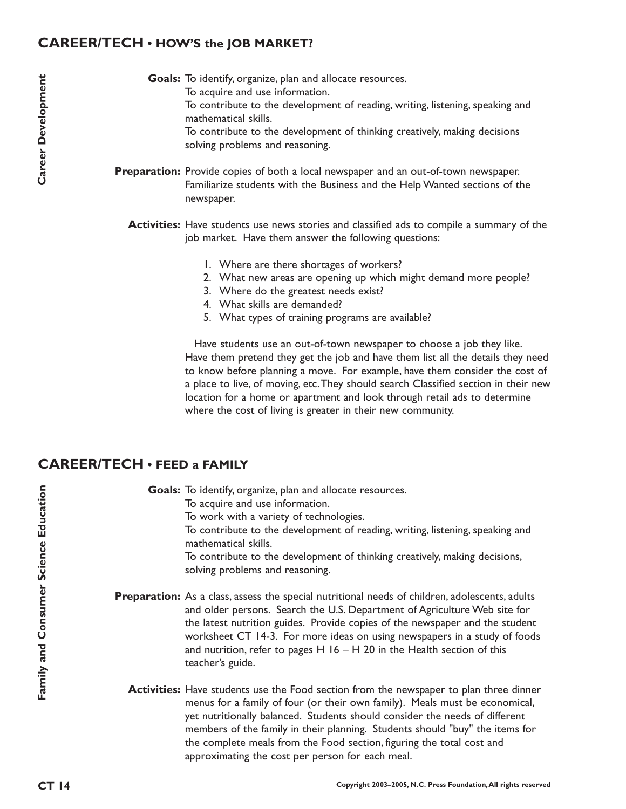### **CAREER/TECH • HOW'S the JOB MARKET?**

Goals: To identify, organize, plan and allocate resources. To acquire and use information. To contribute to the development of reading, writing, listening, speaking and

mathematical skills. To contribute to the development of thinking creatively, making decisions solving problems and reasoning.

Preparation: Provide copies of both a local newspaper and an out-of-town newspaper. Familiarize students with the Business and the Help Wanted sections of the newspaper.

**Activities:** Have students use news stories and classified ads to compile a summary of the job market. Have them answer the following questions:

- 1. Where are there shortages of workers?
- 2. What new areas are opening up which might demand more people?
- 3. Where do the greatest needs exist?
- 4. What skills are demanded?
- 5. What types of training programs are available?

Have students use an out-of-town newspaper to choose a job they like. Have them pretend they get the job and have them list all the details they need to know before planning a move. For example, have them consider the cost of a place to live, of moving, etc.They should search Classified section in their new location for a home or apartment and look through retail ads to determine where the cost of living is greater in their new community.

### **CAREER/TECH • FEED a FAMILY**

Goals: To identify, organize, plan and allocate resources. To acquire and use information. To work with a variety of technologies. To contribute to the development of reading, writing, listening, speaking and mathematical skills. To contribute to the development of thinking creatively, making decisions, solving problems and reasoning.

- Preparation: As a class, assess the special nutritional needs of children, adolescents, adults and older persons. Search the U.S. Department of Agriculture Web site for the latest nutrition guides. Provide copies of the newspaper and the student worksheet CT 14-3. For more ideas on using newspapers in a study of foods and nutrition, refer to pages  $H$  16 – H 20 in the Health section of this teacher's guide.
	- **Activities:** Have students use the Food section from the newspaper to plan three dinner menus for a family of four (or their own family). Meals must be economical, yet nutritionally balanced. Students should consider the needs of different members of the family in their planning. Students should "buy" the items for the complete meals from the Food section, figuring the total cost and approximating the cost per person for each meal.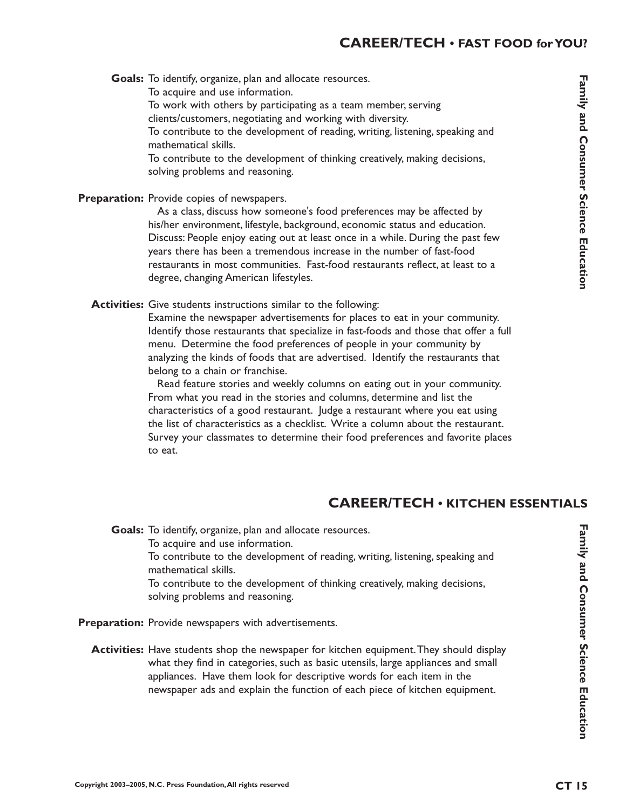Goals: To identify, organize, plan and allocate resources. To acquire and use information. To work with others by participating as a team member, serving clients/customers, negotiating and working with diversity. To contribute to the development of reading, writing, listening, speaking and mathematical skills. To contribute to the development of thinking creatively, making decisions, solving problems and reasoning.

Preparation: Provide copies of newspapers.

As a class, discuss how someone's food preferences may be affected by his/her environment, lifestyle, background, economic status and education. Discuss: People enjoy eating out at least once in a while. During the past few years there has been a tremendous increase in the number of fast-food restaurants in most communities. Fast-food restaurants reflect, at least to a degree, changing American lifestyles.

Activities: Give students instructions similar to the following:

Examine the newspaper advertisements for places to eat in your community. Identify those restaurants that specialize in fast-foods and those that offer a full menu. Determine the food preferences of people in your community by analyzing the kinds of foods that are advertised. Identify the restaurants that belong to a chain or franchise.

Read feature stories and weekly columns on eating out in your community. From what you read in the stories and columns, determine and list the characteristics of a good restaurant. Judge a restaurant where you eat using the list of characteristics as a checklist. Write a column about the restaurant. Survey your classmates to determine their food preferences and favorite places to eat.

# **CAREER/TECH • KITCHEN ESSENTIALS**

Goals: To identify, organize, plan and allocate resources. To acquire and use information. To contribute to the development of reading, writing, listening, speaking and mathematical skills. To contribute to the development of thinking creatively, making decisions, solving problems and reasoning.

Preparation: Provide newspapers with advertisements.

**Activities:** Have students shop the newspaper for kitchen equipment. They should display what they find in categories, such as basic utensils, large appliances and small appliances. Have them look for descriptive words for each item in the newspaper ads and explain the function of each piece of kitchen equipment.

Family and Consumer Science Education **Family and Consumer Science Education**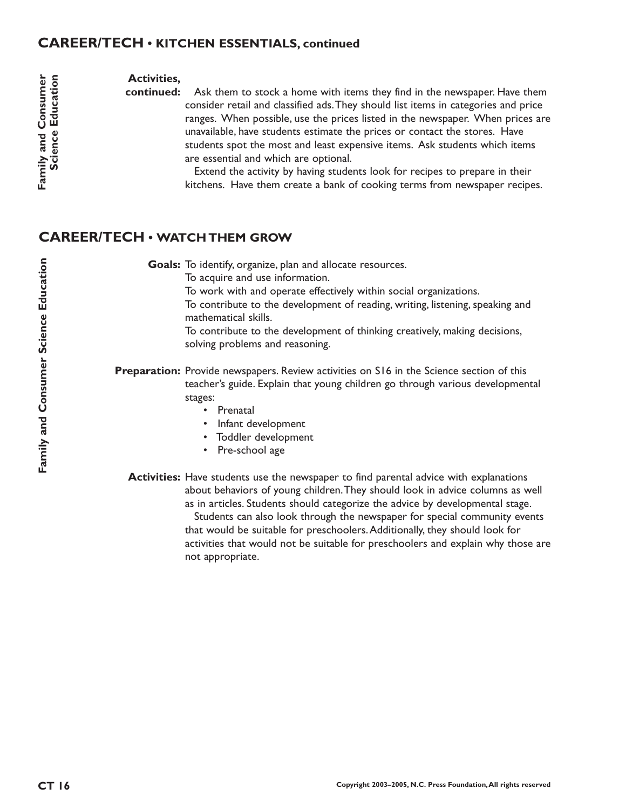### **CAREER/TECH • KITCHEN ESSENTIALS, continued**

#### **Activities,**

**continued:** Ask them to stock a home with items they find in the newspaper. Have them consider retail and classified ads.They should list items in categories and price ranges. When possible, use the prices listed in the newspaper. When prices are unavailable, have students estimate the prices or contact the stores. Have students spot the most and least expensive items. Ask students which items are essential and which are optional.

> Extend the activity by having students look for recipes to prepare in their kitchens. Have them create a bank of cooking terms from newspaper recipes.

### **CAREER/TECH • WATCH THEM GROW**

Goals: To identify, organize, plan and allocate resources.

To acquire and use information.

To work with and operate effectively within social organizations.

To contribute to the development of reading, writing, listening, speaking and mathematical skills.

To contribute to the development of thinking creatively, making decisions, solving problems and reasoning.

**Preparation:** Provide newspapers. Review activities on S16 in the Science section of this teacher's guide. Explain that young children go through various developmental stages:

- Prenatal
- Infant development
- Toddler development
- Pre-school age

**Activities:** Have students use the newspaper to find parental advice with explanations about behaviors of young children.They should look in advice columns as well as in articles. Students should categorize the advice by developmental stage.

Students can also look through the newspaper for special community events that would be suitable for preschoolers.Additionally, they should look for activities that would not be suitable for preschoolers and explain why those are not appropriate.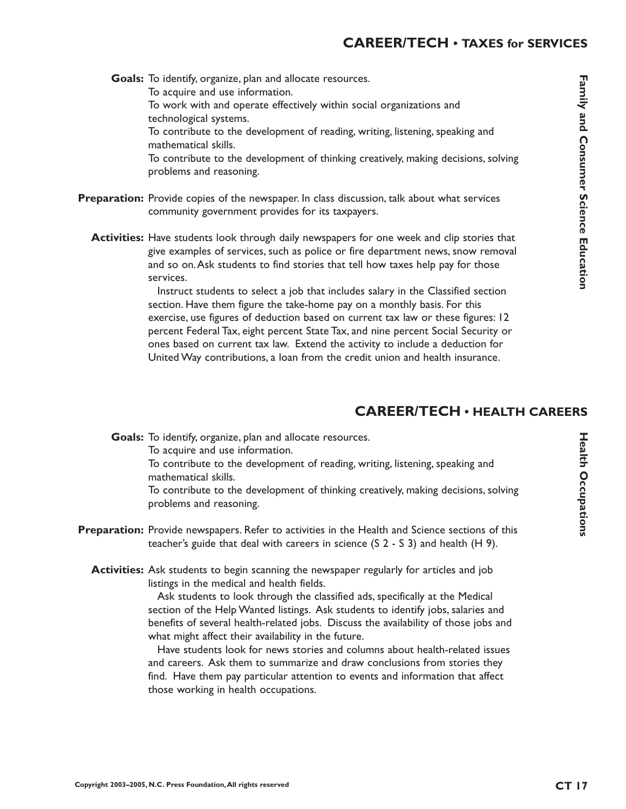**Family and Consumer Science Education amily and Consumer Science Education**

Goals: To identify, organize, plan and allocate resources. To acquire and use information. To work with and operate effectively within social organizations and technological systems. To contribute to the development of reading, writing, listening, speaking and mathematical skills. To contribute to the development of thinking creatively, making decisions, solving problems and reasoning.

- Preparation: Provide copies of the newspaper. In class discussion, talk about what services community government provides for its taxpayers.
	- **Activities:** Have students look through daily newspapers for one week and clip stories that give examples of services, such as police or fire department news, snow removal and so on.Ask students to find stories that tell how taxes help pay for those services.

Instruct students to select a job that includes salary in the Classified section section. Have them figure the take-home pay on a monthly basis. For this exercise, use figures of deduction based on current tax law or these figures: 12 percent Federal Tax, eight percent State Tax, and nine percent Social Security or ones based on current tax law. Extend the activity to include a deduction for United Way contributions, a loan from the credit union and health insurance.

# **CAREER/TECH • HEALTH CAREERS**

Goals: To identify, organize, plan and allocate resources.

To acquire and use information.

To contribute to the development of reading, writing, listening, speaking and mathematical skills.

To contribute to the development of thinking creatively, making decisions, solving problems and reasoning.

- **Preparation:** Provide newspapers. Refer to activities in the Health and Science sections of this teacher's guide that deal with careers in science (S 2 - S 3) and health (H 9).
	- **Activities:** Ask students to begin scanning the newspaper regularly for articles and job listings in the medical and health fields.

Ask students to look through the classified ads, specifically at the Medical section of the Help Wanted listings. Ask students to identify jobs, salaries and benefits of several health-related jobs. Discuss the availability of those jobs and what might affect their availability in the future.

Have students look for news stories and columns about health-related issues and careers. Ask them to summarize and draw conclusions from stories they find. Have them pay particular attention to events and information that affect those working in health occupations.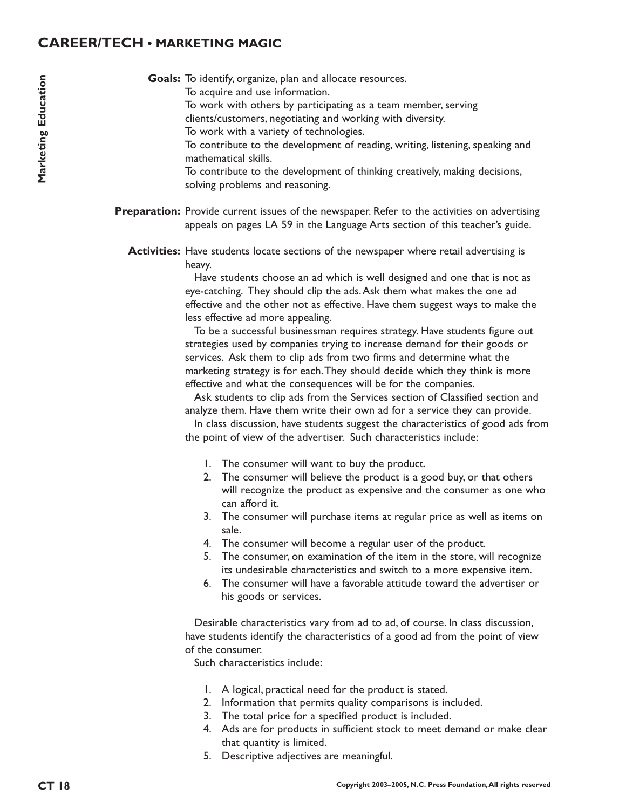### **CAREER/TECH • MARKETING MAGIC**

Goals: To identify, organize, plan and allocate resources.

- To acquire and use information.
	- To work with others by participating as a team member, serving

clients/customers, negotiating and working with diversity.

To work with a variety of technologies.

To contribute to the development of reading, writing, listening, speaking and mathematical skills.

To contribute to the development of thinking creatively, making decisions, solving problems and reasoning.

Preparation: Provide current issues of the newspaper. Refer to the activities on advertising appeals on pages LA 59 in the Language Arts section of this teacher's guide.

**Activities:** Have students locate sections of the newspaper where retail advertising is heavy.

> Have students choose an ad which is well designed and one that is not as eye-catching. They should clip the ads.Ask them what makes the one ad effective and the other not as effective. Have them suggest ways to make the less effective ad more appealing.

> To be a successful businessman requires strategy. Have students figure out strategies used by companies trying to increase demand for their goods or services. Ask them to clip ads from two firms and determine what the marketing strategy is for each.They should decide which they think is more effective and what the consequences will be for the companies.

Ask students to clip ads from the Services section of Classified section and analyze them. Have them write their own ad for a service they can provide.

In class discussion, have students suggest the characteristics of good ads from the point of view of the advertiser. Such characteristics include:

- 1. The consumer will want to buy the product.
- 2. The consumer will believe the product is a good buy, or that others will recognize the product as expensive and the consumer as one who can afford it.
- 3. The consumer will purchase items at regular price as well as items on sale.
- 4. The consumer will become a regular user of the product.
- 5. The consumer, on examination of the item in the store, will recognize its undesirable characteristics and switch to a more expensive item.
- 6. The consumer will have a favorable attitude toward the advertiser or his goods or services.

Desirable characteristics vary from ad to ad, of course. In class discussion, have students identify the characteristics of a good ad from the point of view of the consumer.

Such characteristics include:

- 1. A logical, practical need for the product is stated.
- 2. Information that permits quality comparisons is included.
- 3. The total price for a specified product is included.
- 4. Ads are for products in sufficient stock to meet demand or make clear that quantity is limited.
- 5. Descriptive adjectives are meaningful.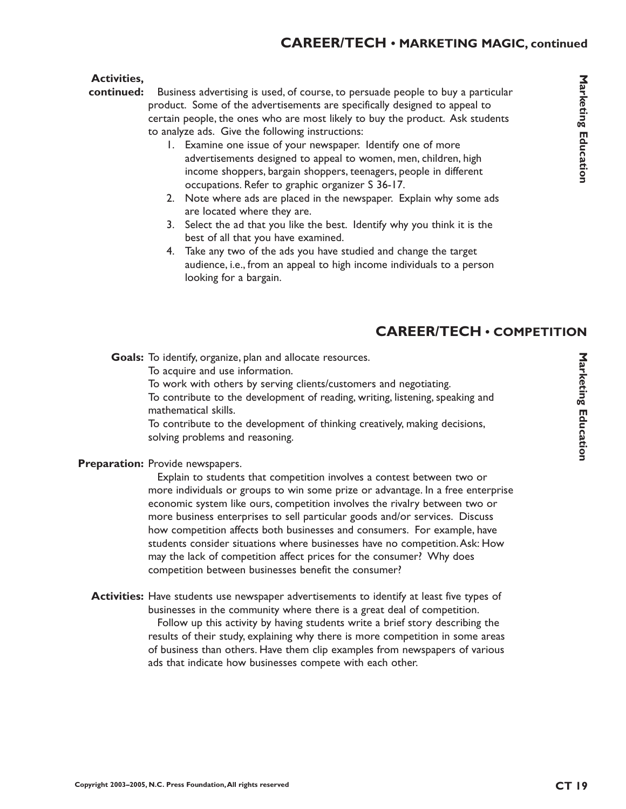#### **Activities,**

- Business advertising is used, of course, to persuade people to buy a particular product. Some of the advertisements are specifically designed to appeal to certain people, the ones who are most likely to buy the product. Ask students to analyze ads. Give the following instructions: **continued:**
	- 1. Examine one issue of your newspaper. Identify one of more advertisements designed to appeal to women, men, children, high income shoppers, bargain shoppers, teenagers, people in different occupations. Refer to graphic organizer S 36-17.
	- 2. Note where ads are placed in the newspaper. Explain why some ads are located where they are.
	- 3. Select the ad that you like the best. Identify why you think it is the best of all that you have examined.
	- 4. Take any two of the ads you have studied and change the target audience, i.e., from an appeal to high income individuals to a person looking for a bargain.

# **CAREER/TECH • COMPETITION**

Goals: To identify, organize, plan and allocate resources.

To acquire and use information.

To work with others by serving clients/customers and negotiating.

To contribute to the development of reading, writing, listening, speaking and mathematical skills.

To contribute to the development of thinking creatively, making decisions, solving problems and reasoning.

#### Preparation: Provide newspapers.

Explain to students that competition involves a contest between two or more individuals or groups to win some prize or advantage. In a free enterprise economic system like ours, competition involves the rivalry between two or more business enterprises to sell particular goods and/or services. Discuss how competition affects both businesses and consumers. For example, have students consider situations where businesses have no competition.Ask: How may the lack of competition affect prices for the consumer? Why does competition between businesses benefit the consumer?

**Activities:** Have students use newspaper advertisements to identify at least five types of businesses in the community where there is a great deal of competition. Follow up this activity by having students write a brief story describing the results of their study, explaining why there is more competition in some areas of business than others. Have them clip examples from newspapers of various ads that indicate how businesses compete with each other.

Marketing Education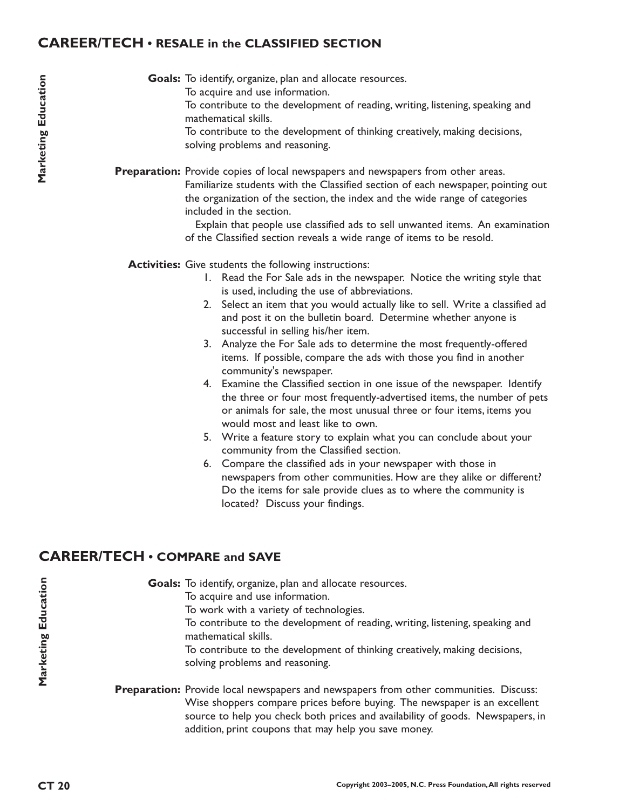### **CAREER/TECH • RESALE in the CLASSIFIED SECTION**

Goals: To identify, organize, plan and allocate resources.

To acquire and use information.

To contribute to the development of reading, writing, listening, speaking and mathematical skills.

To contribute to the development of thinking creatively, making decisions, solving problems and reasoning.

Preparation: Provide copies of local newspapers and newspapers from other areas. Familiarize students with the Classified section of each newspaper, pointing out the organization of the section, the index and the wide range of categories included in the section.

> Explain that people use classified ads to sell unwanted items. An examination of the Classified section reveals a wide range of items to be resold.

Activities: Give students the following instructions:

- 1. Read the For Sale ads in the newspaper. Notice the writing style that is used, including the use of abbreviations.
- 2. Select an item that you would actually like to sell. Write a classified ad and post it on the bulletin board. Determine whether anyone is successful in selling his/her item.
- 3. Analyze the For Sale ads to determine the most frequently-offered items. If possible, compare the ads with those you find in another community's newspaper.
- 4. Examine the Classified section in one issue of the newspaper. Identify the three or four most frequently-advertised items, the number of pets or animals for sale, the most unusual three or four items, items you would most and least like to own.
- 5. Write a feature story to explain what you can conclude about your community from the Classified section.
- 6. Compare the classified ads in your newspaper with those in newspapers from other communities. How are they alike or different? Do the items for sale provide clues as to where the community is located? Discuss your findings.

# **CAREER/TECH • COMPARE and SAVE**

Goals: To identify, organize, plan and allocate resources. To acquire and use information. To work with a variety of technologies. To contribute to the development of reading, writing, listening, speaking and mathematical skills.

To contribute to the development of thinking creatively, making decisions, solving problems and reasoning.

Preparation: Provide local newspapers and newspapers from other communities. Discuss: Wise shoppers compare prices before buying. The newspaper is an excellent source to help you check both prices and availability of goods. Newspapers, in addition, print coupons that may help you save money.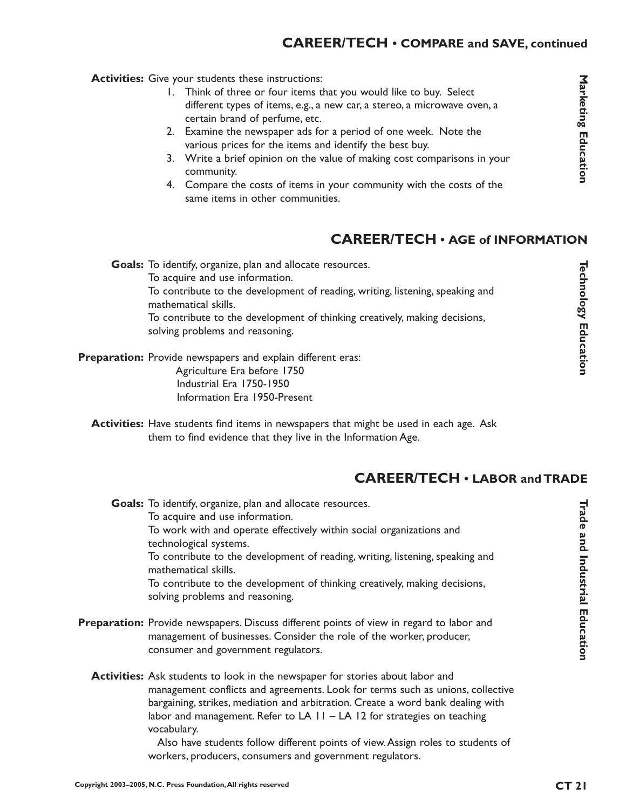## **CAREER/TECH • COMPARE and SAVE, continued**

Activities: Give your students these instructions:

- 1. Think of three or four items that you would like to buy. Select different types of items, e.g., a new car, a stereo, a microwave oven, a certain brand of perfume, etc.
- 2. Examine the newspaper ads for a period of one week. Note the various prices for the items and identify the best buy.
- 3. Write a brief opinion on the value of making cost comparisons in your community.
- 4. Compare the costs of items in your community with the costs of the same items in other communities.

### **CAREER/TECH • AGE of INFORMATION**

Goals: To identify, organize, plan and allocate resources. To acquire and use information. To contribute to the development of reading, writing, listening, speaking and mathematical skills. To contribute to the development of thinking creatively, making decisions, solving problems and reasoning.

Preparation: Provide newspapers and explain different eras: Agriculture Era before 1750 Industrial Era 1750-1950 Information Era 1950-Present

**Activities:** Have students find items in newspapers that might be used in each age. Ask them to find evidence that they live in the Information Age.

### **CAREER/TECH • LABOR and TRADE**

Goals: To identify, organize, plan and allocate resources. To acquire and use information. To work with and operate effectively within social organizations and technological systems. To contribute to the development of reading, writing, listening, speaking and mathematical skills. To contribute to the development of thinking creatively, making decisions, solving problems and reasoning.

- Preparation: Provide newspapers. Discuss different points of view in regard to labor and management of businesses. Consider the role of the worker, producer, consumer and government regulators.
	- Activities: Ask students to look in the newspaper for stories about labor and management conflicts and agreements. Look for terms such as unions, collective bargaining, strikes, mediation and arbitration. Create a word bank dealing with labor and management. Refer to  $LA$   $II$  –  $LA$   $I2$  for strategies on teaching vocabulary.

Also have students follow different points of view.Assign roles to students of workers, producers, consumers and government regulators.

Marketing Education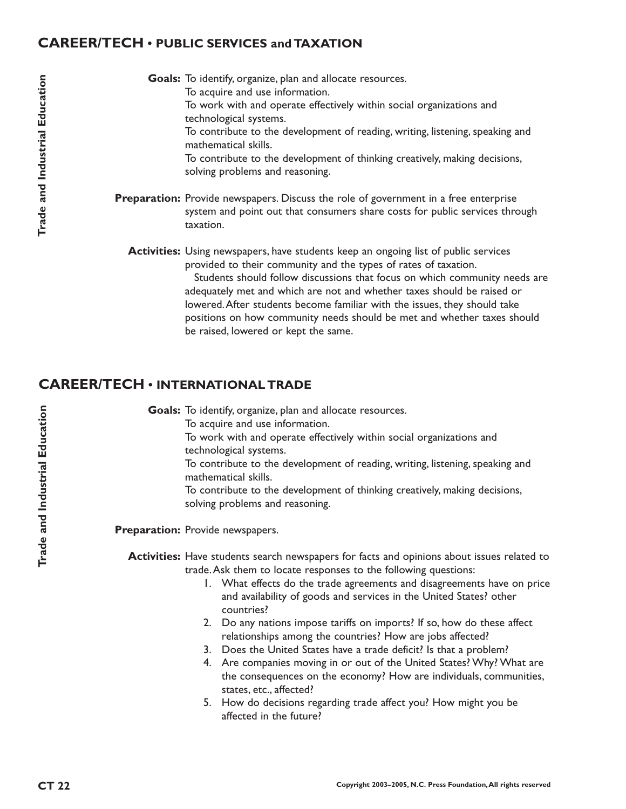### **CAREER/TECH • PUBLIC SERVICES and TAXATION**

Goals: To identify, organize, plan and allocate resources. To acquire and use information. To work with and operate effectively within social organizations and technological systems. To contribute to the development of reading, writing, listening, speaking and mathematical skills. To contribute to the development of thinking creatively, making decisions, solving problems and reasoning. Preparation: Provide newspapers. Discuss the role of government in a free enterprise system and point out that consumers share costs for public services through taxation.

**Activities:** Using newspapers, have students keep an ongoing list of public services provided to their community and the types of rates of taxation.

> Students should follow discussions that focus on which community needs are adequately met and which are not and whether taxes should be raised or lowered.After students become familiar with the issues, they should take positions on how community needs should be met and whether taxes should be raised, lowered or kept the same.

## **CAREER/TECH • INTERNATIONAL TRADE**

Goals: To identify, organize, plan and allocate resources.

To acquire and use information.

To work with and operate effectively within social organizations and technological systems.

To contribute to the development of reading, writing, listening, speaking and mathematical skills.

To contribute to the development of thinking creatively, making decisions, solving problems and reasoning.

Preparation: Provide newspapers.

Activities: Have students search newspapers for facts and opinions about issues related to trade.Ask them to locate responses to the following questions:

- 1. What effects do the trade agreements and disagreements have on price and availability of goods and services in the United States? other countries?
- 2. Do any nations impose tariffs on imports? If so, how do these affect relationships among the countries? How are jobs affected?
- 3. Does the United States have a trade deficit? Is that a problem?
- 4. Are companies moving in or out of the United States? Why? What are the consequences on the economy? How are individuals, communities, states, etc., affected?
- 5. How do decisions regarding trade affect you? How might you be affected in the future?

**Trade and Industrial Education**

Trade and Industrial Education